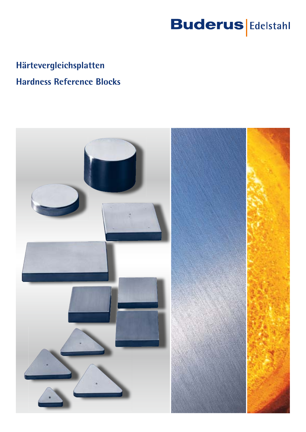# **Buderus** Edelstahl

# **Härtevergleichsplatten Hardness Reference Blocks**

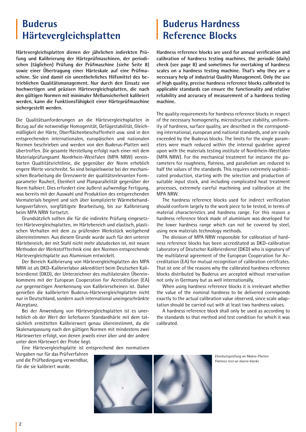### **Buderus Härtevergleichsplatten**

**Härtevergleichsplatten dienen der jährlichen indirekten Prüfung und Kalibrierung der Härteprüfmaschinen, der periodischen (täglichen) Prüfung der Prüfmaschine (siehe Seite 8) sowie einer Übertragung einer Härteskale auf eine Prüfmaschine. Sie sind damit ein unentbehrliches Hilfsmittel des betrieblichen Qualitätsmanagement. Nur durch den Einsatz von hochwertigen und präzisen Härtevergleichsplatten, die nach den gültigen Normen mit minimaler Meßunsicherheit kalibriert werden, kann die Funktionsfähigkeit einer Härteprüfmaschine sichergestellt werden.**

Die Qualitätsanforderungen an die Härtevergleichsplatten in Bezug auf die notwendige Homogenität, Gefügestabilität, Gleichmäßigkeit der Härte, Oberflächenbeschaffenheit usw. sind in den entsprechenden internationalen, europäischen und nationalen Normen beschrieben und werden von den Buderus-Platten weit übertroffen. Die gesamte Herstellung erfolgt nach einer mit dem Materialprüfungsamt Nordrhein-Westfalen (MPA NRW) vereinbarten Qualtitätsrichtlinie, die gegenüber der Norm erheblich engere Werte vorschreibt. So sind beispielsweise bei der mechanischen Bearbeitung die Grenzwerte der qualitätsrelevanten Formparameter Rauheit, Ebenheit und Planparallelität gegenüber der Norm halbiert. Dies erfordert eine äußerst aufwendige Fertigung, was bereits mit der Auswahl und Produktion des entsprechenden Vormaterials beginnt und sich über komplizierte Wärmebehandlungsverfahren, sorgfältigste Bearbeitung, bis zur Kalibrierung beim MPA NRW fortsetzt.

Grundsätzlich sollten die für die indirekte Prüfung eingesetzten Härtevergleichsplatten, im Härtebereich und elastisch, plastischen Verhalten mit dem zu prüfenden Werkstück weitgehend übereinstimmen. Aus diesem Grunde wurde auch für den unteren Härtebereich, der mit Stahl nicht mehr abzudecken ist, mit neuen Methoden der Werkstofftechnik eine den Normen entsprechende Härtevergleichsplatte aus Aluminium entwickelt.

Der Bereich Kalibrierung von Härtevergleichsplatten des MPA NRW ist als DKD-Kalibrierlabor akkreditiert beim Deutschen Kalibrierdienst (DKD), der Unterzeichner des multilateralen Übereinkommens mit der European Cooperation for Accreditation (EA) zur gegenseitigen Anerkennung von Kalibrierscheinen ist. Daher genießen die kalibrierten Buderus-Härtevergleichsplatten nicht nur in Deutschland, sondern auch international uneingeschränkte Akzeptanz.

Bei der Anwendung von Härtevergleichsplatten ist es unerheblich ob der Wert der lieferbaren Standardhärte mit dem tatsächlich ermittelten Kalibrierwert genau übereinstimmt, da die Skalenanpassung nach den gültigen Normen mit mindestens zwei Härtewerten erfolgt, von denen jeweils einer über und der andere unter dem Härtewert der Probe liegt.

Eine Härtevergleichsplatte ist entsprechend den normativen

Vorgaben nur für das Prüfverfahren und die Prüfbedingung verwendbar, für die sie kalibriert wurde.

# **Buderus Hardness Reference Blocks**

**Hardness reference blocks are used for annual verification and calibration of hardness testing machines, the periodic (daily) check (see page 8) and sometimes for overtaking of hardness scales on a hardness testing machine. That's why they are a necessary help of industrial Quality Management. Only the use of high quality, precise hardness reference blocks calibrated to applicable standards can ensure the functionality and relative reliability and accuracy of measurement of a hardness testing machine.**

The quality requirements for hardness reference blocks in respect of the necessary homogeneity, microstructure stability, uniformity of hardness, surface quality, are described in the corresponding international, european and national standards, and are easily exceeded by the Buderus blocks. The limits for the single parameters were much reduced within the internal guideline agreed upon with the materials testing institute of Nordrhein-Westfalen (MPA NRW). For the mechanical treatment for instance the parameters for roughness, flatness, and parallelism are reduced to half the values of the standards. This requires extremely sophisticated production, starting with the selection and production of suitable input stock, and including complicated heat treatment processes, extremely careful machining and calibration at the MPA NRW.

The hardness reference blocks used for indirect verification should conform largely to the work piece to be tested, in terms of material characteristics and hardness range. For this reason a hardness reference block made of aluminium was developed for the lower hardness range which can not be covered by steel, using new materials technology methods.

The division of MPA NRW responsible for calibration of hardness reference blocks has been accreditated as DKD-calibration Laboratory of Deutscher Kalibrierdienst (DKD) who is signatory of the multilateral agreement of the European Cooperation for Accreditation (EA) for mutual recognition of calibration certifcates. That ist one of the reasons why the calibrated hardness reference blocks distributed by Buderus are accepted without reservation not only in Germany but as well internationally.

When using hardness reference blocks it is irrelevant whether the value of the nominal hardness to be delivered corresponds exactly to the actual calibration value observed, since scale adaptation should be carried out with at least two hardness values.

A hardness reference block shall only be used as according to the standards to that method and test condition for which it was calibrated.

*Ebenheitsprüfung an Makro-Platten Flatness test on macro blocks*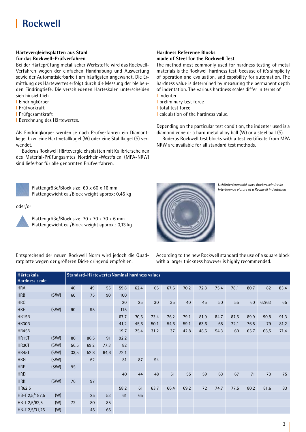# **Rockwell**

#### **Härtevergleichsplatten aus Stahl für das Rockwell-Prüfverfahren**

Bei der Härteprüfung metallischer Werkstoffe wird das Rockwell-Verfahren wegen der einfachen Handhabung und Auswertung sowie der Automatisierbarkeit am häufigsten angewandt. Die Ermittlung des Härtewertes erfolgt durch die Messung der bleibenden Eindringtiefe. Die verschiedenen Härteskalen unterscheiden sich hinsichtlich

- **l** Eindringkörper
- **l** Prüfvorkraft
- **l** Prüfgesamtkraft
- **l** Berechnung des Härtewertes.

Als Eindringkörper werden je nach Prüfverfahren ein Diamantkegel bzw. eine Hartmetallkugel (W) oder eine Stahlkugel (S) verwendet.

Buderus Rockwell Härtevergleichsplatten mit Kalibrierscheinen des Material-Prüfungsamtes Nordrhein-Westfalen (MPA-NRW) sind lieferbar für alle genormten Prüfverfahren.



Plattengröße/Block size: 60 x 60 x 16 mm Plattengewicht ca./Block weight approx: 0,45 kg

#### oder/or



 Plattengröße/Block size: 70 x 70 x 70 x 6 mm Plattengewicht ca./Block weight approx.: 0,13 kg

#### **Hardness Reference Blocks made of Steel for the Rockwell Test**

The method most commonly used for hardness testing of metal materials is the Rockwell hardness test, because of it's simplicity of operation and evaluation, and capability for automation. The hardness value is determined by measuring the permanent depth of indentation. The various hardness scales differ in terms of **l** indenter

- **l** preliminary test force
- **l** total test force
- **l** calculation of the hardness value.

Depending on the particular test condition, the indenter used is a diamond cone or a hard metal alloy ball (W) or a steel ball (S).

Buderus Rockwell test blocks with a test certificate from MPA NRW are available for all standard test methods.



*Lichtinterferenzbild eines Rockwelleindrucks*

Entsprechend der neuen Rockwell Norm wird jedoch die Quadratplatte wegen der größeren Dicke dringend empfohlen.

According to the new Rockwell standard the use of a square block with a larger thickness however is highly recommended.

| <b>Härteskala</b><br>Hardness scale |       |      |      |      |      | Standard-Härtewerte/Nominal hardness values |      |      |      |      |      |      |      |       |      |
|-------------------------------------|-------|------|------|------|------|---------------------------------------------|------|------|------|------|------|------|------|-------|------|
| <b>HRA</b>                          |       | 40   | 49   | 55   | 59,8 | 62,4                                        | 65   | 67,6 | 70,2 | 72,8 | 75,4 | 78,1 | 80,7 | 82    | 83,4 |
| <b>HRB</b>                          | (S/W) | 60   | 75   | 90   | 100  |                                             |      |      |      |      |      |      |      |       |      |
| <b>HRC</b>                          |       |      |      |      | 20   | 25                                          | 30   | 35   | 40   | 45   | 50   | 55   | 60   | 62/63 | 65   |
| <b>HRF</b>                          | (S/W) | 90   | 95   |      | 115  |                                             |      |      |      |      |      |      |      |       |      |
| <b>HR15N</b>                        |       |      |      |      | 67,7 | 70,5                                        | 73,4 | 76,2 | 79,1 | 81,9 | 84,7 | 87,5 | 89,9 | 90,8  | 91,3 |
| HR30N                               |       |      |      |      | 41,2 | 45,6                                        | 50,1 | 54,6 | 59,1 | 63,6 | 68   | 72,1 | 76,8 | 79    | 81,2 |
| <b>HR45N</b>                        |       |      |      |      | 19,7 | 25,4                                        | 31,2 | 37   | 42,8 | 48,5 | 54,3 | 60   | 65,7 | 68,5  | 71,4 |
| <b>HR15T</b>                        | (S/W) | 80   | 86,5 | 91   | 92,2 |                                             |      |      |      |      |      |      |      |       |      |
| <b>HR30T</b>                        | (S/W) | 56,5 | 69,2 | 77,3 | 82   |                                             |      |      |      |      |      |      |      |       |      |
| <b>HR45T</b>                        | (S/W) | 33,5 | 52,8 | 64,6 | 72,1 |                                             |      |      |      |      |      |      |      |       |      |
| <b>HRG</b>                          | (S/W) |      | 62   |      | 81   | 87                                          | 94   |      |      |      |      |      |      |       |      |
| <b>HRE</b>                          | (S/W) | 95   |      |      |      |                                             |      |      |      |      |      |      |      |       |      |
| <b>HRD</b>                          |       |      |      |      | 40   | 44                                          | 48   | 51   | 55   | 59   | 63   | 67   | 71   | 73    | 75   |
| <b>HRK</b>                          | (S/W) | 76   | 97   |      |      |                                             |      |      |      |      |      |      |      |       |      |
| HR62,5                              |       |      |      |      | 58,2 | 61                                          | 63,7 | 66,4 | 69,2 | 72   | 74,7 | 77,5 | 80,2 | 81,6  | 83   |
| HB-T 2,5/187,5                      | (W)   |      | 25   | 53   | 61   | 65                                          |      |      |      |      |      |      |      |       |      |
| HB-T 2,5/62,5                       | (W)   | 72   | 80   | 85   |      |                                             |      |      |      |      |      |      |      |       |      |
| HB-T 2,5/31,25                      | (W)   |      | 45   | 65   |      |                                             |      |      |      |      |      |      |      |       |      |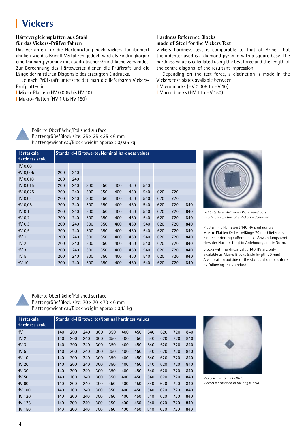# **Vickers**

#### **Härtevergleichsplatten aus Stahl für das Vickers-Prüfverfahren**

Das Verfahren für die Härteprüfung nach Vickers funktioniert ähnlich wie das Brinell-Verfahren, jedoch wird als Eindringkörper eine Diamantpyramide mit quadratischer Grundfläche verwendet. Zur Berechnung des Härtewertes dienen die Prüfkraft und die Länge der mittleren Diagonale des erzeugten Eindrucks.

Je nach Prüfkraft unterscheidet man die lieferbaren Vickers-Prüfplatten in

- **l** Mikro-Platten (HV 0,005 bis HV 10)
- **l** Makro-Platten (HV 1 bis HV 150)

#### **Hardness Reference Blocks made of Steel for the Vickers Test**

Vickers hardness test is comparable to that of Brinell, but the indenter used is a diamond pyramid with a square base. The hardness value is calculated using the test force and the length of the centre diagonal of the resultant impression.

Depending on the test force, a distinction is made in the Vickers test plates available between

**l** Micro blocks (HV 0.005 to HV 10) **l** Macro blocks (HV 1 to HV 150)



 Polierte Oberfläche/Polished surface Plattengröße/Block size: 35 x 35 x 35 x 6 mm Plattengewicht ca./Block weight approx.: 0,035 kg

| <b>Härteskala</b><br><b>Hardness scale</b> |     |     |     |     |     | Standard-Härtewerte/Nominal hardness values |     |     |     |     |
|--------------------------------------------|-----|-----|-----|-----|-----|---------------------------------------------|-----|-----|-----|-----|
| HV 0,001                                   |     |     |     |     |     |                                             |     |     |     |     |
| HV 0,005                                   | 200 | 240 |     |     |     |                                             |     |     |     |     |
| HV 0,010                                   | 200 | 240 |     |     |     |                                             |     |     |     |     |
| HV 0,015                                   | 200 | 240 | 300 | 350 | 400 | 450                                         | 540 |     |     |     |
| HV 0,025                                   | 200 | 240 | 300 | 350 | 400 | 450                                         | 540 | 620 | 720 |     |
| HV 0.03                                    | 200 | 240 | 300 | 350 | 400 | 450                                         | 540 | 620 | 720 |     |
| HV 0,05                                    | 200 | 240 | 300 | 350 | 400 | 450                                         | 540 | 620 | 720 | 840 |
| HV 0,1                                     | 200 | 240 | 300 | 350 | 400 | 450                                         | 540 | 620 | 720 | 840 |
| HV 0.2                                     | 200 | 240 | 300 | 350 | 400 | 450                                         | 540 | 620 | 720 | 840 |
| HV 0.3                                     | 200 | 240 | 300 | 350 | 400 | 450                                         | 540 | 620 | 720 | 840 |
| HV 0.5                                     | 200 | 240 | 300 | 350 | 400 | 450                                         | 540 | 620 | 720 | 840 |
| HV <sub>1</sub>                            | 200 | 240 | 300 | 350 | 400 | 450                                         | 540 | 620 | 720 | 840 |
| HV <sub>2</sub>                            | 200 | 240 | 300 | 350 | 400 | 450                                         | 540 | 620 | 720 | 840 |
| HV <sub>3</sub>                            | 200 | 240 | 300 | 350 | 400 | 450                                         | 540 | 620 | 720 | 840 |
| HV <sub>5</sub>                            | 200 | 240 | 300 | 350 | 400 | 450                                         | 540 | 620 | 720 | 840 |
| <b>HV 10</b>                               | 200 | 240 | 300 | 350 | 400 | 450                                         | 540 | 620 | 720 | 840 |



*Lichtinterferenzbild eines Vickerseindrucks Interference picture of a Vickers indentation*

Platten mit Härtewert 140 HV sind nur als Makro-Platten (Schenkellänge 70 mm) lieferbar. Eine Kalibrierung außerhalb des Anwendungsbereiches der Norm erfolgt in Anlehnung an die Norm.

Blocks with hardness value 140 HV are only available as Macro Blocks (side length 70 mm). A calibration outside of the standard range is done by following the standard.



 Polierte Oberfläche/Polished surface Plattengröße/Block size: 70 x 70 x 70 x 6 mm Plattengewicht ca./Block weight approx.: 0,13 kg

| Härteskala<br><b>Hardness scale</b> |     | Standard-Härtewerte/Nominal hardness values |     |     |     |     |     |     |     |     |     |
|-------------------------------------|-----|---------------------------------------------|-----|-----|-----|-----|-----|-----|-----|-----|-----|
| HV <sub>1</sub>                     | 140 | 200                                         | 240 | 300 | 350 | 400 | 450 | 540 | 620 | 720 | 840 |
| HV <sub>2</sub>                     | 140 | 200                                         | 240 | 300 | 350 | 400 | 450 | 540 | 620 | 720 | 840 |
| HV <sub>3</sub>                     | 140 | 200                                         | 240 | 300 | 350 | 400 | 450 | 540 | 620 | 720 | 840 |
| HV <sub>5</sub>                     | 140 | 200                                         | 240 | 300 | 350 | 400 | 450 | 540 | 620 | 720 | 840 |
| <b>HV 10</b>                        | 140 | 200                                         | 240 | 300 | 350 | 400 | 450 | 540 | 620 | 720 | 840 |
| <b>HV 20</b>                        | 140 | 200                                         | 240 | 300 | 350 | 400 | 450 | 540 | 620 | 720 | 840 |
| <b>HV 30</b>                        | 140 | 200                                         | 240 | 300 | 350 | 400 | 450 | 540 | 620 | 720 | 840 |
| <b>HV 50</b>                        | 140 | 200                                         | 240 | 300 | 350 | 400 | 450 | 540 | 620 | 720 | 840 |
| <b>HV 60</b>                        | 140 | 200                                         | 240 | 300 | 350 | 400 | 450 | 540 | 620 | 720 | 840 |
| HV 100                              | 140 | 200                                         | 240 | 300 | 350 | 400 | 450 | 540 | 620 | 720 | 840 |
| <b>HV 120</b>                       | 140 | 200                                         | 240 | 300 | 350 | 400 | 450 | 540 | 620 | 720 | 840 |
| HV 125                              | 140 | 200                                         | 240 | 300 | 350 | 400 | 450 | 540 | 620 | 720 | 840 |
| HV 150                              | 140 | 200                                         | 240 | 300 | 350 | 400 | 450 | 540 | 620 | 720 | 840 |



*Vickerseindruck im Hellfeld Vickers indentation in the bright field*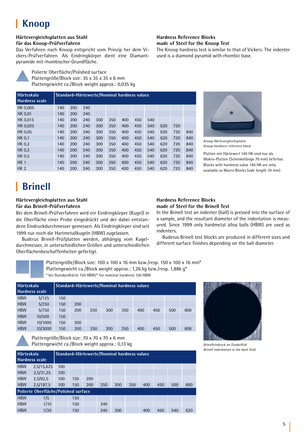# **Knoop**

#### **Härtevergleichsplatten aus Stahl für das Knoop-Prüfverfahren**

Das Verfahren nach Knoop entspricht vom Prinzip her dem Vickers-Prüfverfahren. Als Eindringkörper dient eine Diamantpyramide mit rhombischer Grundfläche.

> Polierte Oberfläche/Polished surface Plattengröße/Block size: 35 x 35 x 35 x 6 mm Plattengewicht ca./Block weight approx.: 0,035 kg

| Härteskala<br><b>Hardness scale</b> |     | Standard-Härtewerte/Nominal hardness values |     |     |     |     |     |     |     |     |     |
|-------------------------------------|-----|---------------------------------------------|-----|-----|-----|-----|-----|-----|-----|-----|-----|
| HK 0.005                            | 140 | 200                                         | 240 |     |     |     |     |     |     |     |     |
| <b>HK 0.01</b>                      | 140 | 200                                         | 240 |     |     |     |     |     |     |     |     |
| HK 0.015                            | 140 | 200                                         | 240 | 300 | 350 | 400 | 450 | 540 |     |     |     |
| HK 0,025                            | 140 | 200                                         | 240 | 300 | 350 | 400 | 450 | 540 | 620 | 720 |     |
| <b>HK 0,05</b>                      | 140 | 200                                         | 240 | 300 | 350 | 400 | 450 | 540 | 620 | 720 | 840 |
| <b>HK 0.1</b>                       | 140 | 200                                         | 240 | 300 | 350 | 400 | 450 | 540 | 620 | 720 | 840 |
| HK 0,2                              | 140 | 200                                         | 240 | 300 | 350 | 400 | 450 | 540 | 620 | 720 | 840 |
| HK 0.3                              | 140 | 200                                         | 240 | 300 | 350 | 400 | 450 | 540 | 620 | 720 | 840 |
| <b>HK 0.5</b>                       | 140 | 200                                         | 240 | 300 | 350 | 400 | 450 | 540 | 620 | 720 | 840 |
| <b>HK1</b>                          | 140 | 200                                         | 240 | 300 | 350 | 400 | 450 | 540 | 620 | 720 | 840 |
| <b>HK2</b>                          | 140 | 200                                         | 240 | 300 | 350 | 400 | 450 | 540 | 620 | 720 | 840 |

# **Brinell**

#### **Härtevergleichsplatten aus Stahl für das Brinell-Prüfverfahren**

Bei dem Brinell-Prüfverfahren wird ein Eindringkörper (Kugel) in die Oberfläche einer Probe eingedrückt und der dabei entstandene Eindruckdurchmesser gemessen. Als Eindringkörper sind seit 1999 nur noch die Hartmetallkugeln (HBW) zugelassen.

Buderus Brinell-Prüfplatten werden, abhängig vom Kugeldurchmesser, in unterschiedlichen Größen und unterschiedlichen Oberflächenbeschaffenheiten gefertigt.

#### **Hardness Reference Blocks made of Steel for the Knoop Test**

The Knoop hardness test is similar to that of Vickers. The indenter used is a diamond pyramid with rhombic base.



*Knoop Härtevergleichsplatte Knoop hardness reference block*

Platten mit Härtewert 140 HK sind nur als Makro-Platten (Schenkellänge 70 mm) lieferbar. Blocks with hardness value 140 HK are only available as Macro Blocks (side length 70 mm)

#### **Hardness Reference Blocks made of Steel for the Brinell Test**

In the Brinell test an indenter (ball) is pressed into the surface of a sample, and the resultant diameter of the indentation is measured. Since 1999 only hardmetal alloy balls (HBW) are used as indenters.

Buderus Brinell test blocks are produced in different sizes and different surface finishes depending on the ball diameter.



 Plattengröße/Block size: 100 x 100 x 16 mm bzw./resp. 150 x 100 x 16 mm\* Plattengewicht ca./Block weight approx.: 1,26 kg bzw./resp. 1,88k g\* \* bei Standardhärte 150 HBW/\* for nominal hardness 150 HBW

| Härteskala | <b>Hardness scale</b> |     | Standard-Härtewerte/Nominal hardness values |     |     |     |     |     |     |     |
|------------|-----------------------|-----|---------------------------------------------|-----|-----|-----|-----|-----|-----|-----|
| <b>HBW</b> | 5/125                 | 150 |                                             |     |     |     |     |     |     |     |
| <b>HBW</b> | 5/250                 | 150 | 200                                         |     |     |     |     |     |     |     |
| <b>HBW</b> | 5/750                 | 150 | 200                                         | 250 | 300 | 350 | 400 | 450 | 500 | 600 |
| <b>HBW</b> | 10/500                | 150 |                                             |     |     |     |     |     |     |     |
| <b>HBW</b> | 10/1000               | 150 | 200                                         |     |     |     |     |     |     |     |
| <b>HBW</b> | 10/3000               | 150 | 200                                         | 250 | 300 | 350 | 400 | 450 | 500 | 600 |

 Plattengröße/Block size: 70 x 70 x 70 x 6 mm Plattengewicht ca./Block weight approx.: 0,13 kg

| Härteskala | <b>Hardness scale</b>                |     | Standard-Härtewerte/Nominal hardness values |     |     |     |     |     |     |     |     |
|------------|--------------------------------------|-----|---------------------------------------------|-----|-----|-----|-----|-----|-----|-----|-----|
| <b>HBW</b> | 2,5/15,625                           | 100 |                                             |     |     |     |     |     |     |     |     |
| <b>HBW</b> | 2,5/31,25                            | 100 |                                             |     |     |     |     |     |     |     |     |
| <b>HBW</b> | 2,5/62,5                             | 100 | 150                                         | 200 |     |     |     |     |     |     |     |
| <b>HBW</b> | 2,5/187,5                            | 100 | 150                                         | 200 | 250 | 300 | 350 | 400 | 450 | 500 | 600 |
|            | Polierte Oberfläche/Polished surface |     |                                             |     |     |     |     |     |     |     |     |
| <b>HBW</b> | 1/5                                  |     | 150                                         |     |     |     |     |     |     |     |     |
| <b>HBW</b> | 1/10                                 |     | 150                                         |     | 240 |     |     |     |     |     |     |
| <b>HBW</b> | 1/30                                 |     | 150                                         |     | 240 | 300 |     | 400 | 450 | 540 | 620 |



*Brinelleindruck im Dunkelfeld Brinell indentation in the dark field*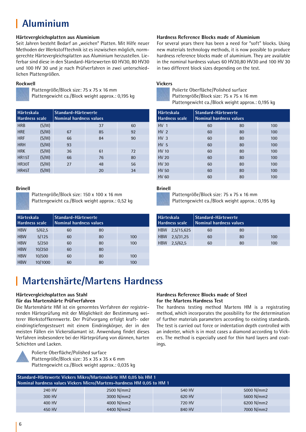# **Aluminium**

#### **Härtevergleichsplatten aus Aluminium**

Seit Jahren besteht Bedarf an "weichen" Platten. Mit Hilfe neuer Methoden der Werkstofftechnik ist es inzwischen möglich, normgerechte Härtevergleichsplatten aus Aluminium herzustellen. Lieferbar sind diese in den Standard-Härtewerten 60 HV30, 80 HV30 und 100 HV 30 und je nach Prüfverfahren in zwei unterschiedlichen Plattengrößen.

#### **Rockwell**

 Plattengröße/Block size: 75 x 75 x 16 mm Plattengewicht ca./Block weight approx.: 0,195 kg

| Härteskala<br><b>Hardness scale</b> |       | Standard-Härtewerte<br><b>Nominal hardness values</b> |    |    |
|-------------------------------------|-------|-------------------------------------------------------|----|----|
| <b>HRB</b>                          | (S/W) |                                                       | 37 | 60 |
| <b>HRE</b>                          | (S/W) | 67                                                    | 85 | 92 |
| <b>HRF</b>                          | (S/W) | 66                                                    | 84 | 90 |
| <b>HRH</b>                          | (S/W) | 93                                                    |    |    |
| <b>HRK</b>                          | (S/W) | 36                                                    | 61 | 72 |
| <b>HR15T</b>                        | (S/W) | 66                                                    | 76 | 80 |
| <b>HR30T</b>                        | (S/W) | 27                                                    | 48 | 56 |
| <b>HR45T</b>                        | (S/W) |                                                       | 20 | 34 |

#### **Brinell**

 Plattengröße/Block size: 150 x 100 x 16 mm Plattengewicht ca./Block weight approx.: 0,52 kg

| Härteskala | <b>Hardness scale</b> | Standard-Härtewerte<br><b>Nominal hardness values</b> |    |     |
|------------|-----------------------|-------------------------------------------------------|----|-----|
| <b>HBW</b> | 5/62,5                | 60                                                    | 80 |     |
| <b>HBW</b> | 5/125                 | 60                                                    | 80 | 100 |
| <b>HBW</b> | 5/250                 | 60                                                    | 80 | 100 |
| <b>HBW</b> | 10/250                | 60                                                    | 80 |     |
| <b>HBW</b> | 10/500                | 60                                                    | 80 | 100 |
| <b>HBW</b> | 10/1000               | 60                                                    | 80 | 100 |

#### **Hardness Reference Blocks made of Aluminium**

For several years there has been a need for "soft" blocks. Using new materials technology methods, it is now possible to produce hardness reference blocks made of aluminium. They are available in the nominal hardness values 60 HV30,80 HV30 and 100 HV 30 in two different block sizes depending on the test.

#### **Vickers**



 Polierte Oberfläche/Polished surface Plattengröße/Block size: 75 x 75 x 16 mm Plattengewicht ca./Block weight approx.: 0,195 kg

| <b>Härteskala</b><br><b>Hardness scale</b> |    | Standard-Härtewerte<br>Nominal hardness values |     |  |  |  |  |  |  |
|--------------------------------------------|----|------------------------------------------------|-----|--|--|--|--|--|--|
| HV <sub>1</sub>                            | 60 | 80                                             | 100 |  |  |  |  |  |  |
| HV <sub>2</sub>                            | 60 | 80                                             | 100 |  |  |  |  |  |  |
| HV <sub>3</sub>                            | 60 | 80                                             | 100 |  |  |  |  |  |  |
| HV <sub>5</sub>                            | 60 | 80                                             | 100 |  |  |  |  |  |  |
| <b>HV 10</b>                               | 60 | 80                                             | 100 |  |  |  |  |  |  |
| HV 20                                      | 60 | 80                                             | 100 |  |  |  |  |  |  |
| <b>HV30</b>                                | 60 | 80                                             | 100 |  |  |  |  |  |  |
| <b>HV 50</b>                               | 60 | 80                                             | 100 |  |  |  |  |  |  |
| HV 60                                      | 60 | 80                                             | 100 |  |  |  |  |  |  |

#### **Brinell**

 Plattengröße/Block size: 75 x 75 x 16 mm Plattengewicht ca./Block weight approx.: 0,195 kg

| <b>Härteskala</b> | Hardness scale |    | Standard-Härtewerte<br>Nominal hardness values |     |  |  |  |  |
|-------------------|----------------|----|------------------------------------------------|-----|--|--|--|--|
|                   | HBW 2,5/15,625 | 60 | 80                                             |     |  |  |  |  |
| <b>HBW</b>        | 2,5/31,25      | 60 | 80                                             | 100 |  |  |  |  |
| <b>HBW</b>        | 2.5/62.5       | 60 | 80                                             | 100 |  |  |  |  |

# **Martenshärte/Martens Hardness**

#### **Härtevergleichsplatten aus Stahl für das Martenshärte Prüfverfahren**

Die Martenshärte HM ist ein genormtes Verfahren der registrierenden Härteprüfung mit der Möglichkeit der Bestimmung weiterer Werkstoffkennwerte. Der Prüfvorgang erfolgt kraft- oder eindringtiefengesteuert mit einem Eindringkörper, der in den meisten Fällen ein Vickersdiamant ist. Anwendung findet dieses Verfahren insbesondere bei der Härteprüfung von dünnen, harten Schichten und Lacken.



Polierte Oberfläche/Polished surface

Plattengröße/Block size: 35 x 35 x 35 x 6 mm Plattengewicht ca./Block weight approx.: 0,035 kg

#### **Hardness Reference Blocks made of Steel for the Martens Hardness Test**

The hardness testing method Martens HM is a registrating method, which incorporates the possibility for the determination of further materials parameters according to existing standards. The test is carried out force or indentation depth controlled with an indenter, which is in most cases a diamond according to Vickers. The method is especially used for thin hard layers and coatings.

| Standard-Härtewerte Vickers Mikro/Martenshärte HM 0,05 bis HM 1<br>Nominal hardness values Vickers Micro/Martens-hardness HM 0,05 to HM 1 |                                    |        |            |  |  |  |  |  |  |
|-------------------------------------------------------------------------------------------------------------------------------------------|------------------------------------|--------|------------|--|--|--|--|--|--|
| 2500 N/mm2<br>5000 N/mm2<br>540 HV<br>240 HV                                                                                              |                                    |        |            |  |  |  |  |  |  |
| 300 HV                                                                                                                                    | 3000 N/mm2                         | 620 HV | 5600 N/mm2 |  |  |  |  |  |  |
| 400 HV                                                                                                                                    | 4000 N/mm2                         | 720 HV | 6200 N/mm2 |  |  |  |  |  |  |
| 450 HV                                                                                                                                    | 4400 N/mm2<br>7000 N/mm2<br>840 HV |        |            |  |  |  |  |  |  |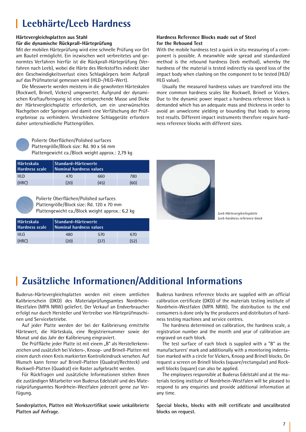# **Leebhärte/Leeb Hardness**

#### **Härtevergleichsplatten aus Stahl für die dynamische Rückprall-Härteprüfung**

Mit der mobilen Härteprüfung wird eine schnelle Prüfung vor Ort am Bauteil ermöglicht. Ein inzwischen weit verbreitetes und genormtes Verfahren hierfür ist die Rückprall-Härteprüfung (Verfahren nach Leeb), wobei die Härte des Werkstoffes indirekt über den Geschwindigkeitsverlust eines Schlagkörpers beim Aufprall auf das Prüfmaterial gemessen wird (HLD-/HLG-Wert).

Die Messwerte werden meistens in die gewohnten Härteskalen (Rockwell, Brinell, Vickers) umgewertet. Aufgrund der dynamischen Kraftaufbringung ist eine entsprechende Masse und Dicke der Härtevergleichsplatte erforderlich, um ein unerwünschtes Nachgeben oder Springen und damit eine Verfälschung der Prüfergebnisse zu verhindern. Verschiedene Schlaggeräte erfordern daher unterschiedliche Plattengrößen.

#### **Hardness Reference Blocks made out of Steel for the Rebound Test**

With the mobile hardness test a quick in situ measuring of a component is possible. A meanwhile wide spread and standardized method is the rebound hardness (leeb method), whereby the hardness of the material is tested indirectly via speed loss of the impact body when clashing on the component to be tested (HLD/ HLG value).

Usually the measured hardness values are transfered into the more common hardness scales like Rockwell, Brinell or Vickers. Due to the dynamic power impact a hardness reference block is demanded which has an adequate mass and thickness in order to avoid an unwelcome yielding or bounding that leads to wrong test results. Different impact instruments therefore require hardness reference blocks with different sizes.



 Polierte Oberflächen/Polished surfaces Plattengröße/Block size: Rd. 90 x 56 mm Plattengewicht ca./Block weight approx.: 2,79 kg

| <b>Härteskala</b><br><b>Hardness scale</b> |      | Standard-Härtewerte<br>Nominal hardness values |     |  |  |  |  |  |
|--------------------------------------------|------|------------------------------------------------|-----|--|--|--|--|--|
| HI D                                       | 470  | 660                                            | 780 |  |  |  |  |  |
| (HRC)                                      | (20) | (60)<br>(45)                                   |     |  |  |  |  |  |



 Polierte Oberflächen/Polished surfaces Plattengröße/Block size: Rd. 120 x 70 mm Plattengewicht ca./Block weight approx.: 6,2 kg *Leeb Härtevergleichsplatte* 

| Härteskala  <br><b>Hardness scale</b> | Standard-Härtewerte<br>Nominal hardness values |      |      |
|---------------------------------------|------------------------------------------------|------|------|
| $HI$ G                                | 480                                            | 570  | 670  |
| (HRC)                                 | (20)                                           | (37) | (52) |



*Leeb hardness reference block*

# **Zusätzliche Informationen/Additional Informations**

Buderus-Härtevergleichsplatten werden mit einem amtlichen Kalibrierschein (DKD) des Materialprüfungsamtes Nordrhein-Westfalen (MPA NRW) geliefert. Der Verkauf an Endverbraucher erfolgt nur durch Hersteller und Vertreiber von Härteprüfmaschinen und Servicebetriebe.

Auf jeder Platte werden der bei der Kalibrierung ermittelte Härtewert, die Härteskala, eine Registriernummer sowie der Monat und das Jahr der Kalibrierung eingraviert.

Die Prüffläche jeder Platte ist mit einem "B" als Herstellerkennzeichen und zusätzlich bei Vickers-, Knoop- und Brinell-Platten mit einem durch einen Kreis markierten Kontrolleindruck versehen. Auf Wunsch kann ferner auf Brinell-Platten (Quadrat/Rechteck) und Rockwell-Platten (Quadrat) ein Raster aufgebracht werden.

Für Rückfragen und zusätzliche Informationen stehen Ihnen die zuständigen Mitarbeiter von Buderus Edelstahl und des Materialprüfungsamtes Nordrhein-Westfalen jederzeit gerne zur Verfügung.

**Sonderplatten, Platten mit Werkszertifikat sowie unkalibrierte Platten auf Anfrage.**

Buderus hardness reference blocks are supplied with an official calibration certificate (DKD) of the materials testing institute of Nordrhein-Westfalen (MPA NRW). The distribution to the end consumers is done only by the producers and distributors of hardness testing machines and service centres.

The hardness determined on calibration, the hardness scale, a registration number and the month and year of calibration are engraved on each block.

The test surface of each block is supplied with a "B" as the manufacturers' mark and additionally with a monitoring indentation marked with a circle for Vickers, Knoop and Brinell blocks. On request a screen on Brinell blocks (square/rectangular) and Rockwell blocks (square) can also be applied.

The employees responsible at Buderus Edelstahl and at the materials testing institute of Nordrhein-Westfalen will be pleased to respond to any enquiries and provide additional information at any time.

**Special blocks, blocks with mill certificate and uncalibrated blocks on request.**